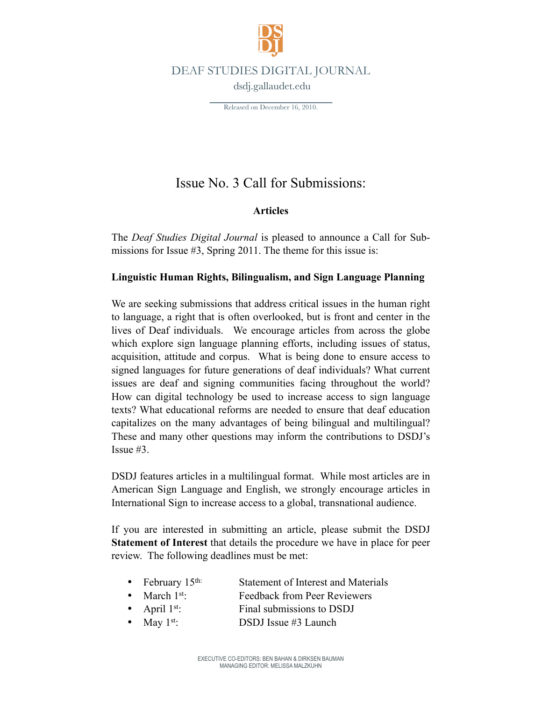

DEAF STUDIES DIGITAL JOURNAL

dsdj.gallaudet.edu

Released on December 16, 2010.

# Issue No. 3 Call for Submissions:

## **Articles**

The *Deaf Studies Digital Journal* is pleased to announce a Call for Submissions for Issue #3, Spring 2011. The theme for this issue is:

### **Linguistic Human Rights, Bilingualism, and Sign Language Planning**

We are seeking submissions that address critical issues in the human right to language, a right that is often overlooked, but is front and center in the lives of Deaf individuals. We encourage articles from across the globe which explore sign language planning efforts, including issues of status, acquisition, attitude and corpus. What is being done to ensure access to signed languages for future generations of deaf individuals? What current issues are deaf and signing communities facing throughout the world? How can digital technology be used to increase access to sign language texts? What educational reforms are needed to ensure that deaf education capitalizes on the many advantages of being bilingual and multilingual? These and many other questions may inform the contributions to DSDJ's Issue #3.

DSDJ features articles in a multilingual format. While most articles are in American Sign Language and English, we strongly encourage articles in International Sign to increase access to a global, transnational audience.

If you are interested in submitting an article, please submit the DSDJ **Statement of Interest** that details the procedure we have in place for peer review. The following deadlines must be met:

- February 15<sup>th:</sup> Statement of Interest and Materials
- March 1<sup>st</sup>: Feedback from Peer Reviewers
	- April 1<sup>st</sup>: Final submissions to DSDJ
- May  $1^{st}$ : DSDJ Issue #3 Launch